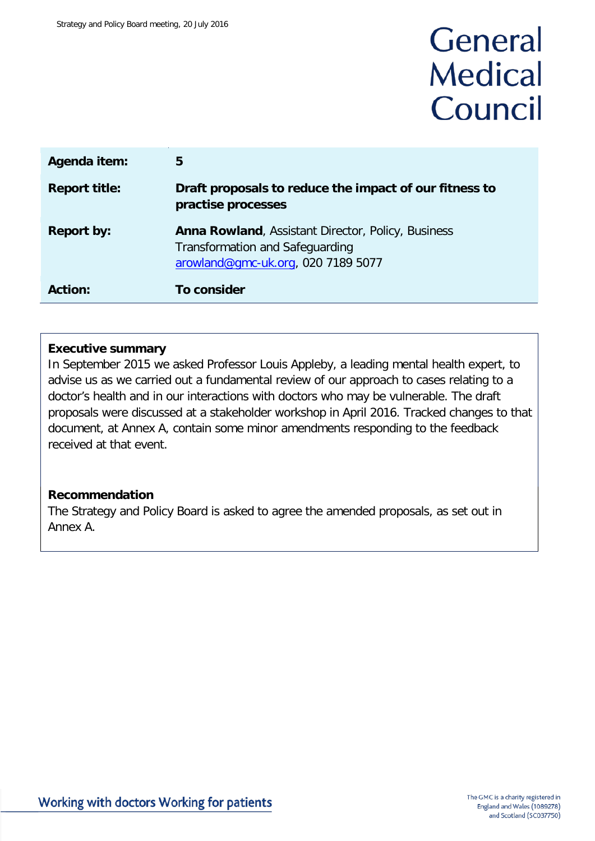# General **Medical** Council

| Agenda item:         | 5                                                                                                                                         |
|----------------------|-------------------------------------------------------------------------------------------------------------------------------------------|
| <b>Report title:</b> | Draft proposals to reduce the impact of our fitness to<br>practise processes                                                              |
| <b>Report by:</b>    | <b>Anna Rowland, Assistant Director, Policy, Business</b><br><b>Transformation and Safeguarding</b><br>arowland@gmc-uk.org, 020 7189 5077 |
| <b>Action:</b>       | To consider                                                                                                                               |

#### **Executive summary**

In September 2015 we asked Professor Louis Appleby, a leading mental health expert, to advise us as we carried out a fundamental review of our approach to cases relating to a doctor's health and in our interactions with doctors who may be vulnerable. The draft proposals were discussed at a stakeholder workshop in April 2016. Tracked changes to that document, at Annex A, contain some minor amendments responding to the feedback received at that event.

# **Recommendation**

The Strategy and Policy Board is asked to agree the amended proposals, as set out in Annex A.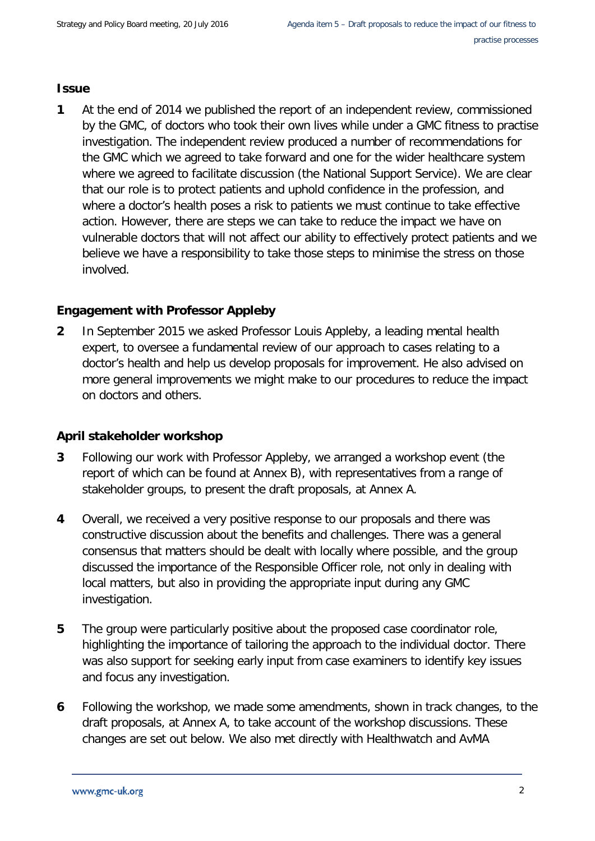## **Issue**

**1** At the end of 2014 we published the [report](http://www.gmc-uk.org/Internal_review_into_suicide_in_FTP_processes.pdf_59088696.pdf?dm_t=0,0,0,0,0) of an independent review, commissioned by the GMC, of doctors who took their own lives while under a GMC fitness to practise investigation. The independent review produced a number of recommendations for the GMC which we agreed to take forward and one for the wider healthcare system where we agreed to facilitate discussion (the National Support Service). We are clear that our role is to protect patients and uphold confidence in the profession, and where a doctor's health poses a risk to patients we must continue to take effective action. However, there are steps we can take to reduce the impact we have on vulnerable doctors that will not affect our ability to effectively protect patients and we believe we have a responsibility to take those steps to minimise the stress on those involved.

# **Engagement with Professor Appleby**

**2** In September 2015 we asked Professor Louis Appleby, a leading mental health expert, to oversee a fundamental review of our approach to cases relating to a doctor's health and help us develop proposals for improvement. He also advised on more general improvements we might make to our procedures to reduce the impact on doctors and others.

# **April stakeholder workshop**

- **3** Following our work with Professor Appleby, we arranged a workshop event (the report of which can be found at Annex B), with representatives from a range of stakeholder groups, to present the draft proposals, at Annex A.
- **4** Overall, we received a very positive response to our proposals and there was constructive discussion about the benefits and challenges. There was a general consensus that matters should be dealt with locally where possible, and the group discussed the importance of the Responsible Officer role, not only in dealing with local matters, but also in providing the appropriate input during any GMC investigation.
- **5** The group were particularly positive about the proposed case coordinator role, highlighting the importance of tailoring the approach to the individual doctor. There was also support for seeking early input from case examiners to identify key issues and focus any investigation.
- **6** Following the workshop, we made some amendments, shown in track changes, to the draft proposals, at Annex A, to take account of the workshop discussions. These changes are set out below. We also met directly with Healthwatch and AvMA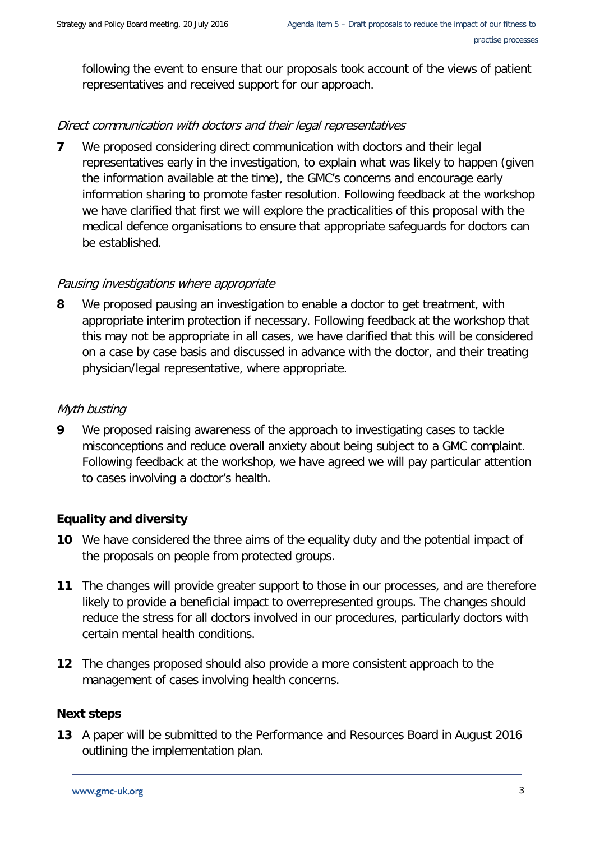following the event to ensure that our proposals took account of the views of patient representatives and received support for our approach.

# Direct communication with doctors and their legal representatives

**7** We proposed considering direct communication with doctors and their legal representatives early in the investigation, to explain what was likely to happen (given the information available at the time), the GMC's concerns and encourage early information sharing to promote faster resolution. Following feedback at the workshop we have clarified that first we will explore the practicalities of this proposal with the medical defence organisations to ensure that appropriate safeguards for doctors can be established.

## Pausing investigations where appropriate

**8** We proposed pausing an investigation to enable a doctor to get treatment, with appropriate interim protection if necessary. Following feedback at the workshop that this may not be appropriate in all cases, we have clarified that this will be considered on a case by case basis and discussed in advance with the doctor, and their treating physician/legal representative, where appropriate.

## Myth busting

**9** We proposed raising awareness of the approach to investigating cases to tackle misconceptions and reduce overall anxiety about being subject to a GMC complaint. Following feedback at the workshop, we have agreed we will pay particular attention to cases involving a doctor's health.

# **Equality and diversity**

- **10** We have considered the three aims of the equality duty and the potential impact of the proposals on people from protected groups.
- **11** The changes will provide greater support to those in our processes, and are therefore likely to provide a beneficial impact to overrepresented groups. The changes should reduce the stress for all doctors involved in our procedures, particularly doctors with certain mental health conditions.
- **12** The changes proposed should also provide a more consistent approach to the management of cases involving health concerns.

# **Next steps**

**13** A paper will be submitted to the Performance and Resources Board in August 2016 outlining the implementation plan.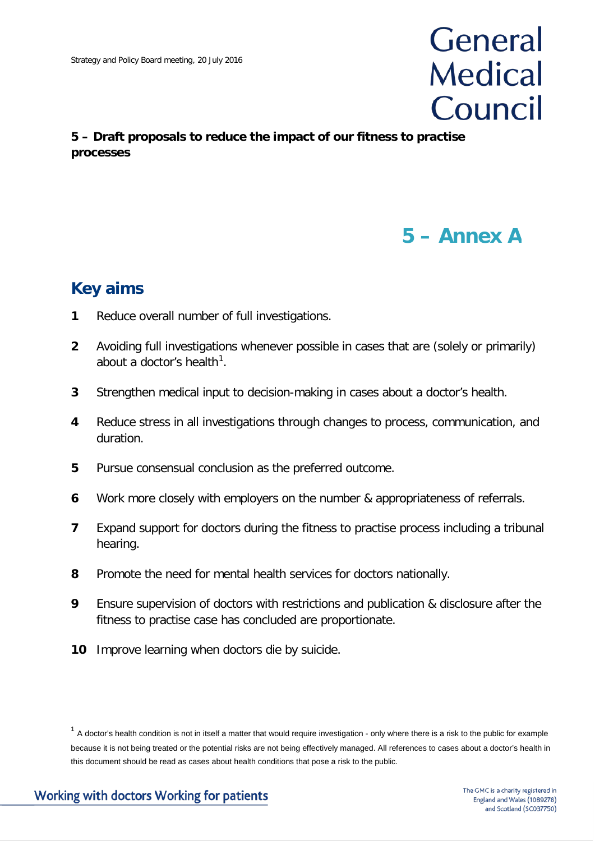# General **Medical** Council

# **5 – Draft proposals to reduce the impact of our fitness to practise processes**

# **5 – Annex A**

# **Key aims**

- **1** Reduce overall number of full investigations.
- **2** Avoiding full investigations whenever possible in cases that are (solely or primarily) about a doctor's health $^1$  $^1$ .
- **3** Strengthen medical input to decision-making in cases about a doctor's health.
- **4** Reduce stress in all investigations through changes to process, communication, and duration.
- **5** Pursue consensual conclusion as the preferred outcome.
- **6** Work more closely with employers on the number & appropriateness of referrals.
- **7** Expand support for doctors during the fitness to practise process including a tribunal hearing.
- **8** Promote the need for mental health services for doctors nationally.
- **9** Ensure supervision of doctors with restrictions and publication & disclosure after the fitness to practise case has concluded are proportionate.
- **10** Improve learning when doctors die by suicide.

<span id="page-3-0"></span> $1$  A doctor's health condition is not in itself a matter that would require investigation - only where there is a risk to the public for example because it is not being treated or the potential risks are not being effectively managed. All references to cases about a doctor's health in this document should be read as cases about health conditions that pose a risk to the public.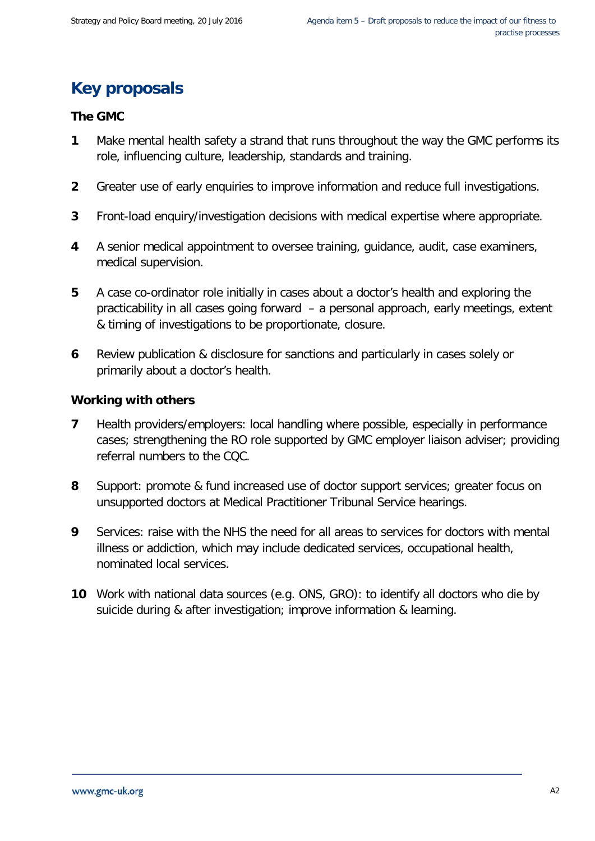# **Key proposals**

## **The GMC**

- **1** Make mental health safety a strand that runs throughout the way the GMC performs its role, influencing culture, leadership, standards and training.
- **2** Greater use of early enquiries to improve information and reduce full investigations.
- **3** Front-load enquiry/investigation decisions with medical expertise where appropriate.
- **4** A senior medical appointment to oversee training, guidance, audit, case examiners, medical supervision.
- **5** A case co-ordinator role initially in cases about a doctor's health and exploring the practicability in all cases going forward – a personal approach, early meetings, extent & timing of investigations to be proportionate, closure.
- **6** Review publication & disclosure for sanctions and particularly in cases solely or primarily about a doctor's health.

#### **Working with others**

- **7** Health providers/employers: local handling where possible, especially in performance cases; strengthening the RO role supported by GMC employer liaison adviser; providing referral numbers to the CQC.
- **8** Support: promote & fund increased use of doctor support services; greater focus on unsupported doctors at Medical Practitioner Tribunal Service hearings.
- **9** Services: raise with the NHS the need for all areas to services for doctors with mental illness or addiction, which may include dedicated services, occupational health, nominated local services.
- **10** Work with national data sources (e.g. ONS, GRO): to identify all doctors who die by suicide during & after investigation; improve information & learning.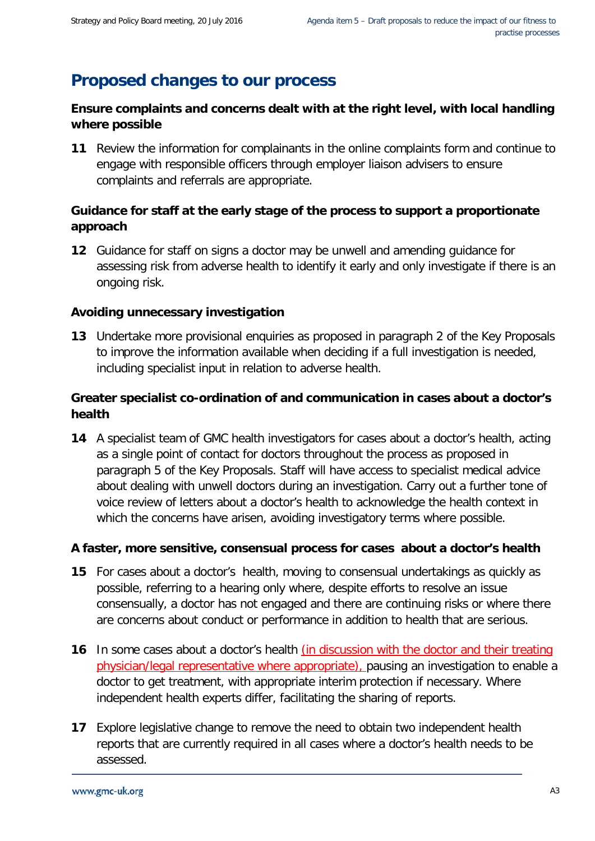# **Proposed changes to our process**

# **Ensure complaints and concerns dealt with at the right level, with local handling where possible**

**11** Review the information for complainants in the online complaints form and continue to engage with responsible officers through employer liaison advisers to ensure complaints and referrals are appropriate.

# **Guidance for staff at the early stage of the process to support a proportionate approach**

**12** Guidance for staff on signs a doctor may be unwell and amending guidance for assessing risk from adverse health to identify it early and only investigate if there is an ongoing risk.

# **Avoiding unnecessary investigation**

**13** Undertake more provisional enquiries as proposed in paragraph 2 of the Key Proposals to improve the information available when deciding if a full investigation is needed, including specialist input in relation to adverse health.

# **Greater specialist co-ordination of and communication in cases about a doctor's health**

**14** A specialist team of GMC health investigators for cases about a doctor's health, acting as a single point of contact for doctors throughout the process as proposed in paragraph 5 of the Key Proposals. Staff will have access to specialist medical advice about dealing with unwell doctors during an investigation. Carry out a further tone of voice review of letters about a doctor's health to acknowledge the health context in which the concerns have arisen, avoiding investigatory terms where possible.

# **A faster, more sensitive, consensual process for cases about a doctor's health**

- **15** For cases about a doctor's health, moving to consensual undertakings as quickly as possible, referring to a hearing only where, despite efforts to resolve an issue consensually, a doctor has not engaged and there are continuing risks or where there are concerns about conduct or performance in addition to health that are serious.
- **16** In some cases about a doctor's health (in discussion with the doctor and their treating physician/legal representative where appropriate), pausing an investigation to enable a doctor to get treatment, with appropriate interim protection if necessary. Where independent health experts differ, facilitating the sharing of reports.
- **17** Explore legislative change to remove the need to obtain two independent health reports that are currently required in all cases where a doctor's health needs to be assessed.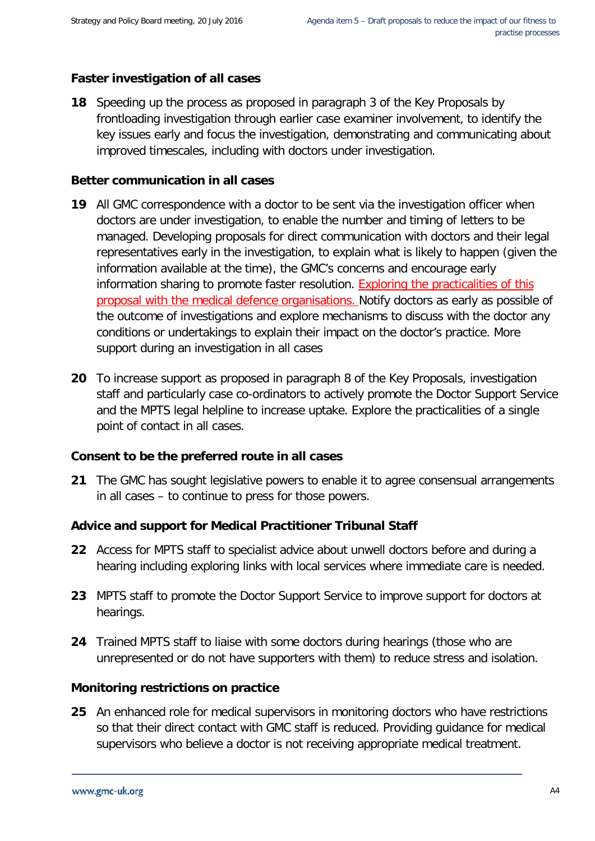# **Faster investigation of all cases**

**18** Speeding up the process as proposed in paragraph 3 of the Key Proposals by frontloading investigation through earlier case examiner involvement, to identify the key issues early and focus the investigation, demonstrating and communicating about improved timescales, including with doctors under investigation.

# **Better communication in all cases**

- **19** All GMC correspondence with a doctor to be sent via the investigation officer when doctors are under investigation, to enable the number and timing of letters to be managed. Developing proposals for direct communication with doctors and their legal representatives early in the investigation, to explain what is likely to happen (given the information available at the time), the GMC's concerns and encourage early information sharing to promote faster resolution. Exploring the practicalities of this proposal with the medical defence organisations. Notify doctors as early as possible of the outcome of investigations and explore mechanisms to discuss with the doctor any conditions or undertakings to explain their impact on the doctor's practice. More support during an investigation in all cases
- **20** To increase support as proposed in paragraph 8 of the Key Proposals, investigation staff and particularly case co-ordinators to actively promote the Doctor Support Service and the MPTS legal helpline to increase uptake. Explore the practicalities of a single point of contact in all cases.

# **Consent to be the preferred route in all cases**

**21** The GMC has sought legislative powers to enable it to agree consensual arrangements in all cases – to continue to press for those powers.

# **Advice and support for Medical Practitioner Tribunal Staff**

- **22** Access for MPTS staff to specialist advice about unwell doctors before and during a hearing including exploring links with local services where immediate care is needed.
- **23** MPTS staff to promote the Doctor Support Service to improve support for doctors at hearings.
- **24** Trained MPTS staff to liaise with some doctors during hearings (those who are unrepresented or do not have supporters with them) to reduce stress and isolation.

# **Monitoring restrictions on practice**

**25** An enhanced role for medical supervisors in monitoring doctors who have restrictions so that their direct contact with GMC staff is reduced. Providing guidance for medical supervisors who believe a doctor is not receiving appropriate medical treatment.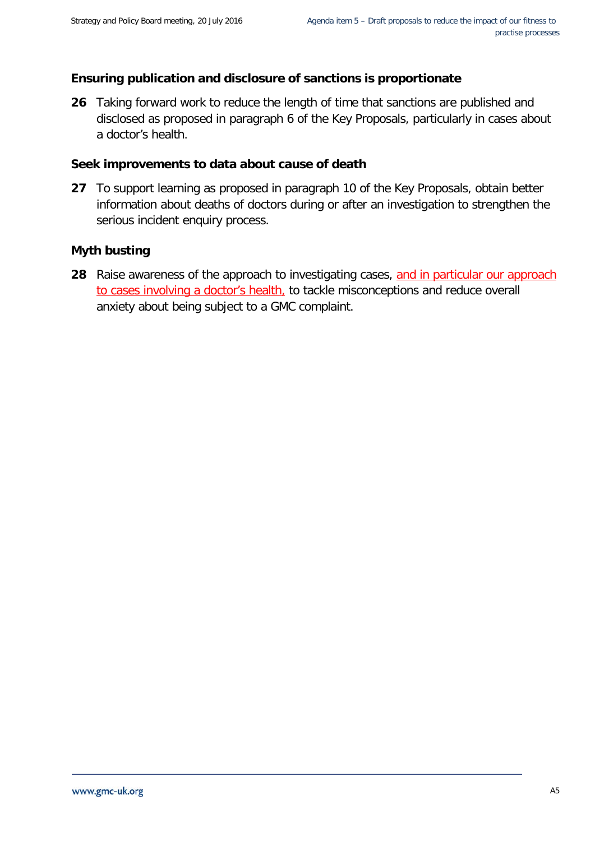# **Ensuring publication and disclosure of sanctions is proportionate**

**26** Taking forward work to reduce the length of time that sanctions are published and disclosed as proposed in paragraph 6 of the Key Proposals, particularly in cases about a doctor's health.

## **Seek improvements to data about cause of death**

**27** To support learning as proposed in paragraph 10 of the Key Proposals, obtain better information about deaths of doctors during or after an investigation to strengthen the serious incident enquiry process.

## **Myth busting**

**28** Raise awareness of the approach to investigating cases, and in particular our approach to cases involving a doctor's health, to tackle misconceptions and reduce overall anxiety about being subject to a GMC complaint.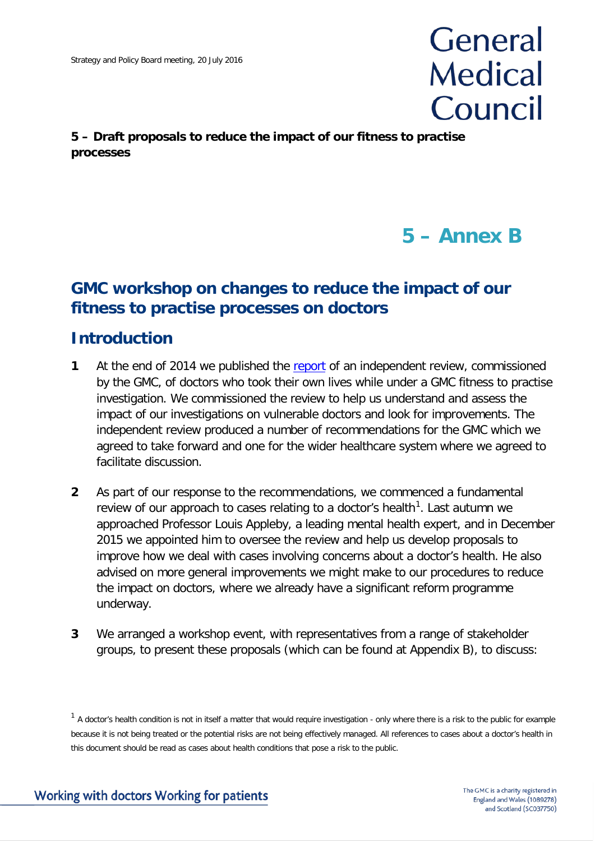# General **Medical** Council

# **5 – Draft proposals to reduce the impact of our fitness to practise processes**

# **5 – Annex B**

# **GMC workshop on changes to reduce the impact of our fitness to practise processes on doctors**

# **Introduction**

- **1** At the end of 2014 we published the [report](http://www.gmc-uk.org/Internal_review_into_suicide_in_FTP_processes.pdf_59088696.pdf?dm_t=0,0,0,0,0) of an independent review, commissioned by the GMC, of doctors who took their own lives while under a GMC fitness to practise investigation. We commissioned the review to help us understand and assess the impact of our investigations on vulnerable doctors and look for improvements. The independent review produced a number of recommendations for the GMC which we agreed to take forward and one for the wider healthcare system where we agreed to facilitate discussion.
- **2** As part of our response to the recommendations, we commenced a fundamental review of our approach to cases relating to a doctor's health<sup>[1](#page-8-0)</sup>. Last autumn we approached Professor Louis Appleby, a leading mental health expert, and in December 2015 we appointed him to oversee the review and help us develop proposals to improve how we deal with cases involving concerns about a doctor's health. He also advised on more general improvements we might make to our procedures to reduce the impact on doctors, where we already have a significant reform programme underway.
- **3** We arranged a workshop event, with representatives from a range of stakeholder groups, to present these proposals (which can be found at Appendix B), to discuss:

<span id="page-8-0"></span> $1$  A doctor's health condition is not in itself a matter that would require investigation - only where there is a risk to the public for example because it is not being treated or the potential risks are not being effectively managed. All references to cases about a doctor's health in this document should be read as cases about health conditions that pose a risk to the public.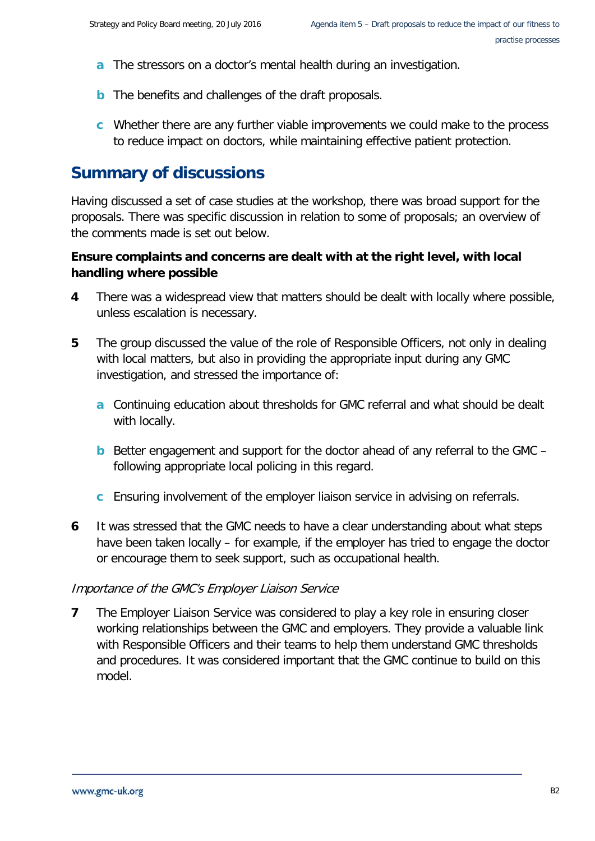- **a** The stressors on a doctor's mental health during an investigation.
- **b** The benefits and challenges of the draft proposals.
- **c** Whether there are any further viable improvements we could make to the process to reduce impact on doctors, while maintaining effective patient protection.

# **Summary of discussions**

Having discussed a set of case studies at the workshop, there was broad support for the proposals. There was specific discussion in relation to some of proposals; an overview of the comments made is set out below.

# **Ensure complaints and concerns are dealt with at the right level, with local handling where possible**

- **4** There was a widespread view that matters should be dealt with locally where possible, unless escalation is necessary.
- **5** The group discussed the value of the role of Responsible Officers, not only in dealing with local matters, but also in providing the appropriate input during any GMC investigation, and stressed the importance of:
	- **a** Continuing education about thresholds for GMC referral and what should be dealt with locally.
	- **b** Better engagement and support for the doctor ahead of any referral to the GMC following appropriate local policing in this regard.
	- **c** Ensuring involvement of the employer liaison service in advising on referrals.
- **6** It was stressed that the GMC needs to have a clear understanding about what steps have been taken locally – for example, if the employer has tried to engage the doctor or encourage them to seek support, such as occupational health.

#### Importance of the GMC's Employer Liaison Service

**7** The Employer Liaison Service was considered to play a key role in ensuring closer working relationships between the GMC and employers. They provide a valuable link with Responsible Officers and their teams to help them understand GMC thresholds and procedures. It was considered important that the GMC continue to build on this model.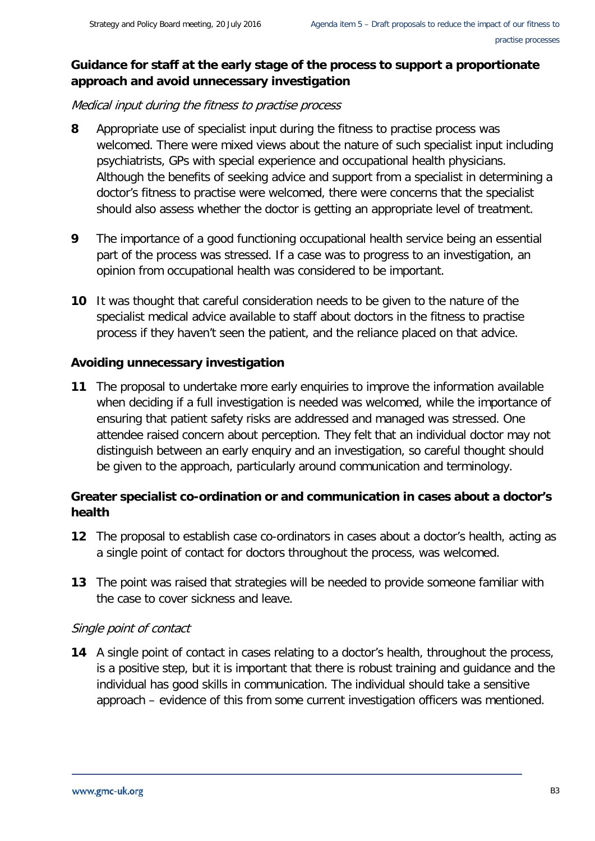# **Guidance for staff at the early stage of the process to support a proportionate approach and avoid unnecessary investigation**

Medical input during the fitness to practise process

- **8** Appropriate use of specialist input during the fitness to practise process was welcomed. There were mixed views about the nature of such specialist input including psychiatrists, GPs with special experience and occupational health physicians. Although the benefits of seeking advice and support from a specialist in determining a doctor's fitness to practise were welcomed, there were concerns that the specialist should also assess whether the doctor is getting an appropriate level of treatment.
- **9** The importance of a good functioning occupational health service being an essential part of the process was stressed. If a case was to progress to an investigation, an opinion from occupational health was considered to be important.
- **10** It was thought that careful consideration needs to be given to the nature of the specialist medical advice available to staff about doctors in the fitness to practise process if they haven't seen the patient, and the reliance placed on that advice.

# **Avoiding unnecessary investigation**

**11** The proposal to undertake more early enquiries to improve the information available when deciding if a full investigation is needed was welcomed, while the importance of ensuring that patient safety risks are addressed and managed was stressed. One attendee raised concern about perception. They felt that an individual doctor may not distinguish between an early enquiry and an investigation, so careful thought should be given to the approach, particularly around communication and terminology.

# **Greater specialist co-ordination or and communication in cases about a doctor's health**

- **12** The proposal to establish case co-ordinators in cases about a doctor's health, acting as a single point of contact for doctors throughout the process, was welcomed.
- **13** The point was raised that strategies will be needed to provide someone familiar with the case to cover sickness and leave.

# Single point of contact

**14** A single point of contact in cases relating to a doctor's health, throughout the process, is a positive step, but it is important that there is robust training and guidance and the individual has good skills in communication. The individual should take a sensitive approach – evidence of this from some current investigation officers was mentioned.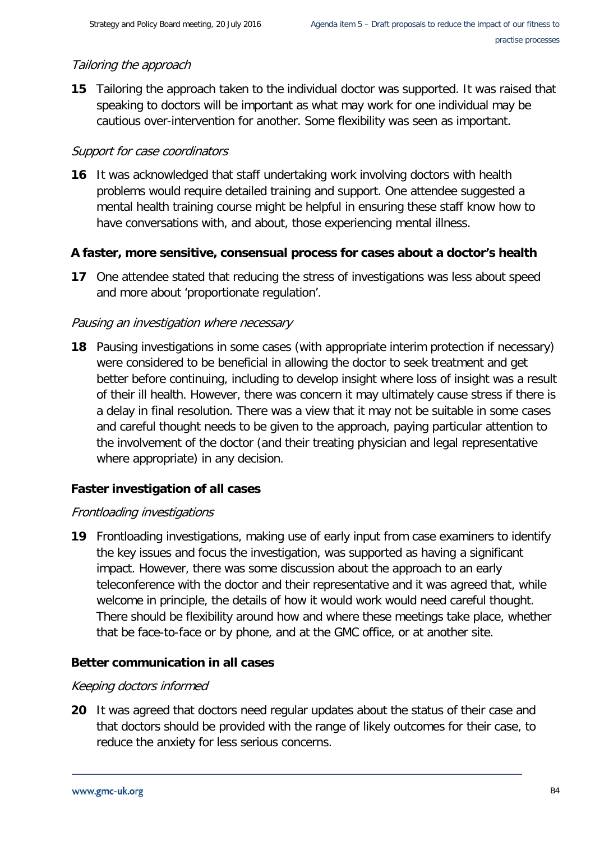# Tailoring the approach

**15** Tailoring the approach taken to the individual doctor was supported. It was raised that speaking to doctors will be important as what may work for one individual may be cautious over-intervention for another. Some flexibility was seen as important.

# Support for case coordinators

**16** It was acknowledged that staff undertaking work involving doctors with health problems would require detailed training and support. One attendee suggested a mental health training course might be helpful in ensuring these staff know how to have conversations with, and about, those experiencing mental illness.

# **A faster, more sensitive, consensual process for cases about a doctor's health**

**17** One attendee stated that reducing the stress of investigations was less about speed and more about 'proportionate regulation'.

# Pausing an investigation where necessary

**18** Pausing investigations in some cases (with appropriate interim protection if necessary) were considered to be beneficial in allowing the doctor to seek treatment and get better before continuing, including to develop insight where loss of insight was a result of their ill health. However, there was concern it may ultimately cause stress if there is a delay in final resolution. There was a view that it may not be suitable in some cases and careful thought needs to be given to the approach, paying particular attention to the involvement of the doctor (and their treating physician and legal representative where appropriate) in any decision.

# **Faster investigation of all cases**

# Frontloading investigations

**19** Frontloading investigations, making use of early input from case examiners to identify the key issues and focus the investigation, was supported as having a significant impact. However, there was some discussion about the approach to an early teleconference with the doctor and their representative and it was agreed that, while welcome in principle, the details of how it would work would need careful thought. There should be flexibility around how and where these meetings take place, whether that be face-to-face or by phone, and at the GMC office, or at another site.

# **Better communication in all cases**

# Keeping doctors informed

**20** It was agreed that doctors need regular updates about the status of their case and that doctors should be provided with the range of likely outcomes for their case, to reduce the anxiety for less serious concerns.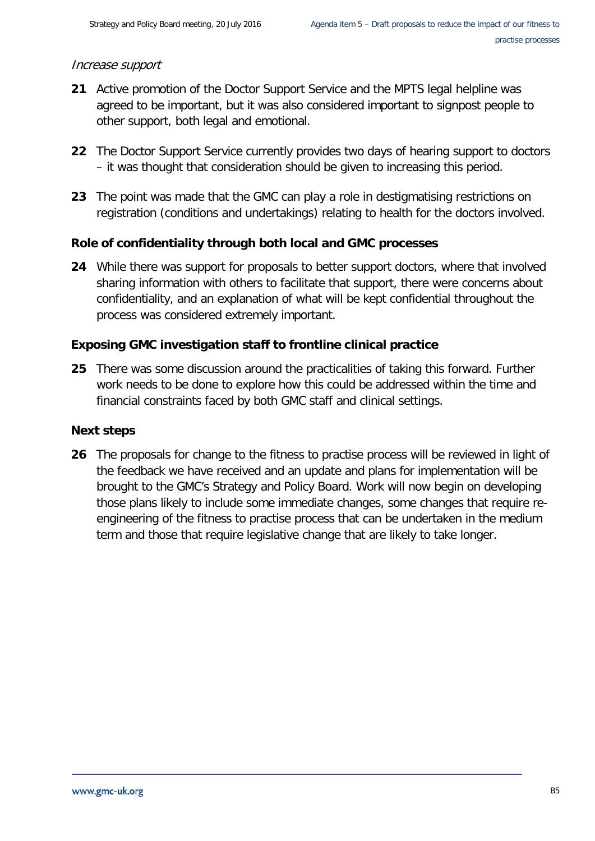## Increase support

- **21** Active promotion of the Doctor Support Service and the MPTS legal helpline was agreed to be important, but it was also considered important to signpost people to other support, both legal and emotional.
- **22** The Doctor Support Service currently provides two days of hearing support to doctors – it was thought that consideration should be given to increasing this period.
- **23** The point was made that the GMC can play a role in destigmatising restrictions on registration (conditions and undertakings) relating to health for the doctors involved.

# **Role of confidentiality through both local and GMC processes**

**24** While there was support for proposals to better support doctors, where that involved sharing information with others to facilitate that support, there were concerns about confidentiality, and an explanation of what will be kept confidential throughout the process was considered extremely important.

# **Exposing GMC investigation staff to frontline clinical practice**

**25** There was some discussion around the practicalities of taking this forward. Further work needs to be done to explore how this could be addressed within the time and financial constraints faced by both GMC staff and clinical settings.

#### **Next steps**

**26** The proposals for change to the fitness to practise process will be reviewed in light of the feedback we have received and an update and plans for implementation will be brought to the GMC's Strategy and Policy Board. Work will now begin on developing those plans likely to include some immediate changes, some changes that require reengineering of the fitness to practise process that can be undertaken in the medium term and those that require legislative change that are likely to take longer.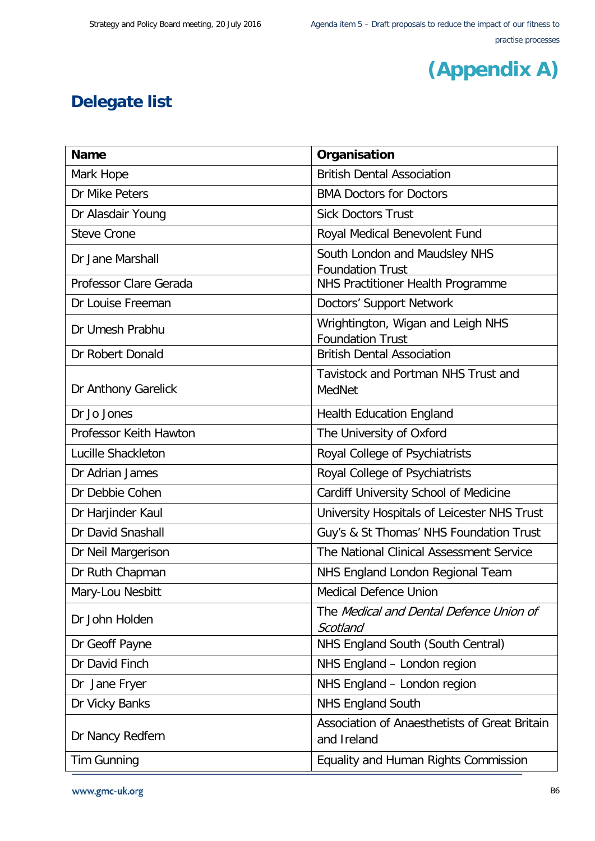

# **Delegate list**

| <b>Name</b>            | Organisation                                                 |
|------------------------|--------------------------------------------------------------|
| Mark Hope              | <b>British Dental Association</b>                            |
| Dr Mike Peters         | <b>BMA Doctors for Doctors</b>                               |
| Dr Alasdair Young      | <b>Sick Doctors Trust</b>                                    |
| <b>Steve Crone</b>     | Royal Medical Benevolent Fund                                |
| Dr Jane Marshall       | South London and Maudsley NHS<br><b>Foundation Trust</b>     |
| Professor Clare Gerada | NHS Practitioner Health Programme                            |
| Dr Louise Freeman      | Doctors' Support Network                                     |
| Dr Umesh Prabhu        | Wrightington, Wigan and Leigh NHS<br><b>Foundation Trust</b> |
| Dr Robert Donald       | <b>British Dental Association</b>                            |
| Dr Anthony Garelick    | Tavistock and Portman NHS Trust and<br>MedNet                |
| Dr Jo Jones            | <b>Health Education England</b>                              |
| Professor Keith Hawton | The University of Oxford                                     |
| Lucille Shackleton     | Royal College of Psychiatrists                               |
| Dr Adrian James        | Royal College of Psychiatrists                               |
| Dr Debbie Cohen        | Cardiff University School of Medicine                        |
| Dr Harjinder Kaul      | University Hospitals of Leicester NHS Trust                  |
| Dr David Snashall      | Guy's & St Thomas' NHS Foundation Trust                      |
| Dr Neil Margerison     | The National Clinical Assessment Service                     |
| Dr Ruth Chapman        | NHS England London Regional Team                             |
| Mary-Lou Nesbitt       | <b>Medical Defence Union</b>                                 |
| Dr John Holden         | The Medical and Dental Defence Union of<br>Scotland          |
| Dr Geoff Payne         | NHS England South (South Central)                            |
| Dr David Finch         | NHS England - London region                                  |
| Dr Jane Fryer          | NHS England - London region                                  |
| Dr Vicky Banks         | <b>NHS England South</b>                                     |
| Dr Nancy Redfern       | Association of Anaesthetists of Great Britain<br>and Ireland |
| Tim Gunning            | Equality and Human Rights Commission                         |

www.gmc-uk.org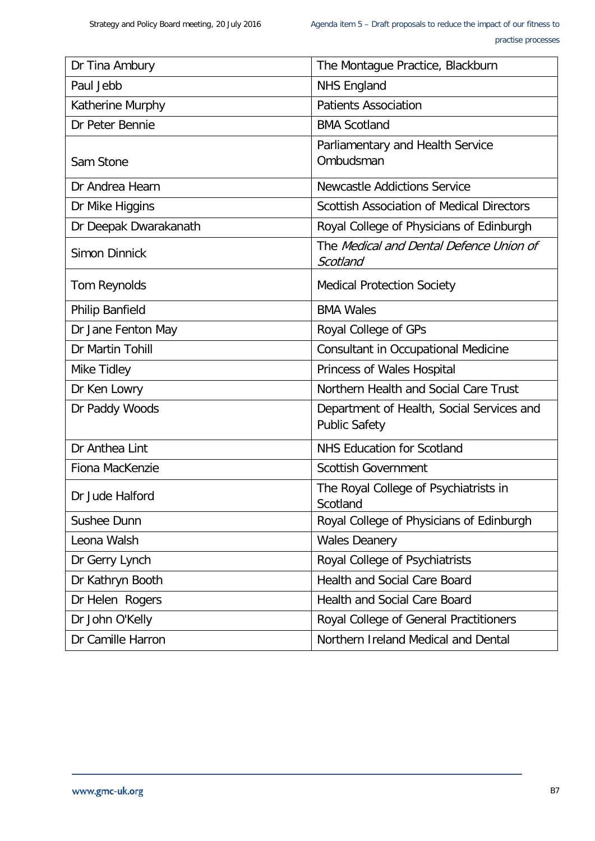| Dr Tina Ambury         | The Montague Practice, Blackburn                                  |
|------------------------|-------------------------------------------------------------------|
| Paul Jebb              | <b>NHS England</b>                                                |
| Katherine Murphy       | <b>Patients Association</b>                                       |
| Dr Peter Bennie        | <b>BMA Scotland</b>                                               |
| Sam Stone              | Parliamentary and Health Service<br>Ombudsman                     |
| Dr Andrea Hearn        | Newcastle Addictions Service                                      |
| Dr Mike Higgins        | <b>Scottish Association of Medical Directors</b>                  |
| Dr Deepak Dwarakanath  | Royal College of Physicians of Edinburgh                          |
| <b>Simon Dinnick</b>   | The Medical and Dental Defence Union of<br>Scotland               |
| Tom Reynolds           | <b>Medical Protection Society</b>                                 |
| <b>Philip Banfield</b> | <b>BMA Wales</b>                                                  |
| Dr Jane Fenton May     | Royal College of GPs                                              |
| Dr Martin Tohill       | <b>Consultant in Occupational Medicine</b>                        |
| Mike Tidley            | Princess of Wales Hospital                                        |
| Dr Ken Lowry           | Northern Health and Social Care Trust                             |
| Dr Paddy Woods         | Department of Health, Social Services and<br><b>Public Safety</b> |
| Dr Anthea Lint         | <b>NHS Education for Scotland</b>                                 |
| Fiona MacKenzie        | <b>Scottish Government</b>                                        |
| Dr Jude Halford        | The Royal College of Psychiatrists in<br>Scotland                 |
| Sushee Dunn            | Royal College of Physicians of Edinburgh                          |
| Leona Walsh            | <b>Wales Deanery</b>                                              |
| Dr Gerry Lynch         | Royal College of Psychiatrists                                    |
| Dr Kathryn Booth       | <b>Health and Social Care Board</b>                               |
| Dr Helen Rogers        | <b>Health and Social Care Board</b>                               |
| Dr John O'Kelly        | Royal College of General Practitioners                            |
| Dr Camille Harron      | Northern Ireland Medical and Dental                               |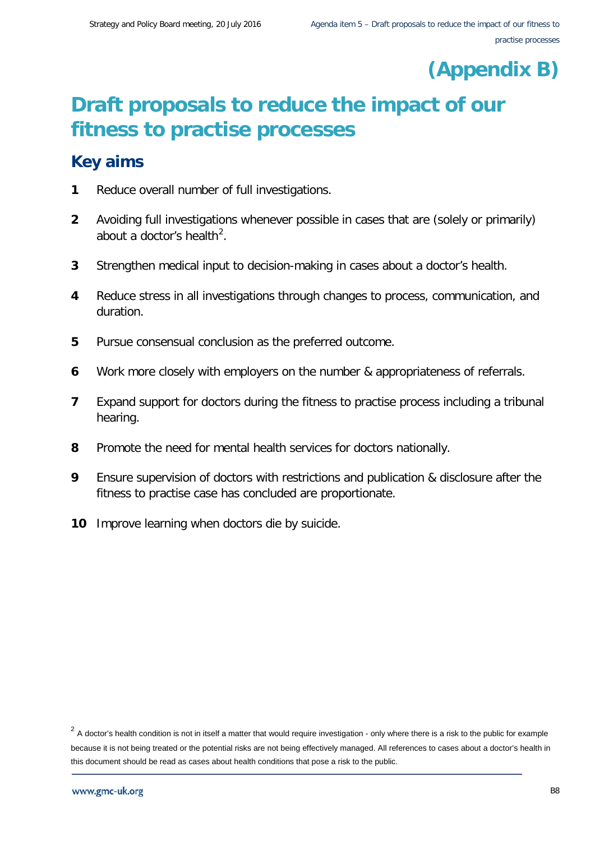# **(Appendix B)**

# **Draft proposals to reduce the impact of our fitness to practise processes**

# **Key aims**

- **1** Reduce overall number of full investigations.
- **2** Avoiding full investigations whenever possible in cases that are (solely or primarily) about a doctor's health<sup>[2](#page-15-0)</sup>.
- **3** Strengthen medical input to decision-making in cases about a doctor's health.
- **4** Reduce stress in all investigations through changes to process, communication, and duration.
- **5** Pursue consensual conclusion as the preferred outcome.
- **6** Work more closely with employers on the number & appropriateness of referrals.
- **7** Expand support for doctors during the fitness to practise process including a tribunal hearing.
- **8** Promote the need for mental health services for doctors nationally.
- **9** Ensure supervision of doctors with restrictions and publication & disclosure after the fitness to practise case has concluded are proportionate.
- **10** Improve learning when doctors die by suicide.

<span id="page-15-0"></span> $2\,$  A doctor's health condition is not in itself a matter that would require investigation - only where there is a risk to the public for example because it is not being treated or the potential risks are not being effectively managed. All references to cases about a doctor's health in this document should be read as cases about health conditions that pose a risk to the public.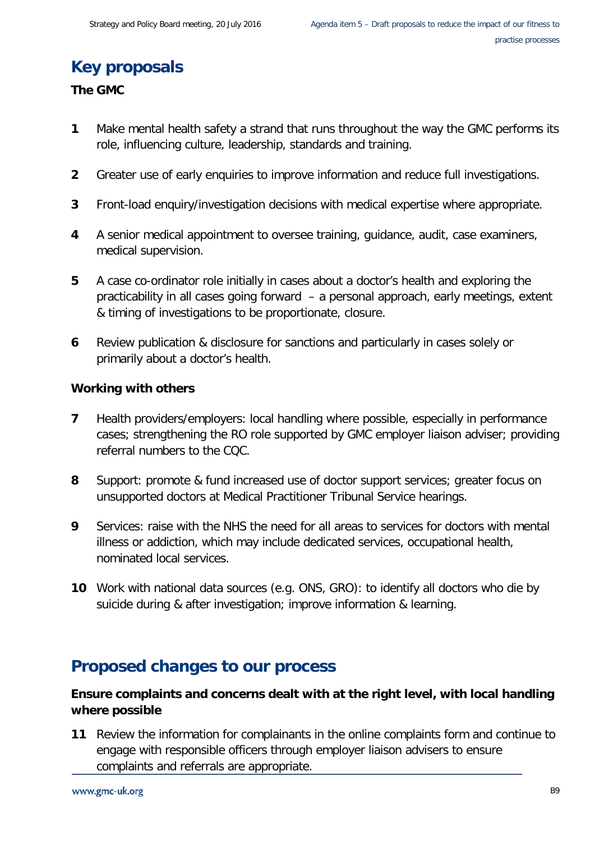# **Key proposals**

## **The GMC**

- **1** Make mental health safety a strand that runs throughout the way the GMC performs its role, influencing culture, leadership, standards and training.
- **2** Greater use of early enquiries to improve information and reduce full investigations.
- **3** Front-load enquiry/investigation decisions with medical expertise where appropriate.
- **4** A senior medical appointment to oversee training, guidance, audit, case examiners, medical supervision.
- **5** A case co-ordinator role initially in cases about a doctor's health and exploring the practicability in all cases going forward – a personal approach, early meetings, extent & timing of investigations to be proportionate, closure.
- **6** Review publication & disclosure for sanctions and particularly in cases solely or primarily about a doctor's health.

#### **Working with others**

- **7** Health providers/employers: local handling where possible, especially in performance cases; strengthening the RO role supported by GMC employer liaison adviser; providing referral numbers to the CQC.
- **8** Support: promote & fund increased use of doctor support services; greater focus on unsupported doctors at Medical Practitioner Tribunal Service hearings.
- **9** Services: raise with the NHS the need for all areas to services for doctors with mental illness or addiction, which may include dedicated services, occupational health, nominated local services.
- **10** Work with national data sources (e.g. ONS, GRO): to identify all doctors who die by suicide during & after investigation; improve information & learning.

# **Proposed changes to our process**

# **Ensure complaints and concerns dealt with at the right level, with local handling where possible**

**11** Review the information for complainants in the online complaints form and continue to engage with responsible officers through employer liaison advisers to ensure complaints and referrals are appropriate.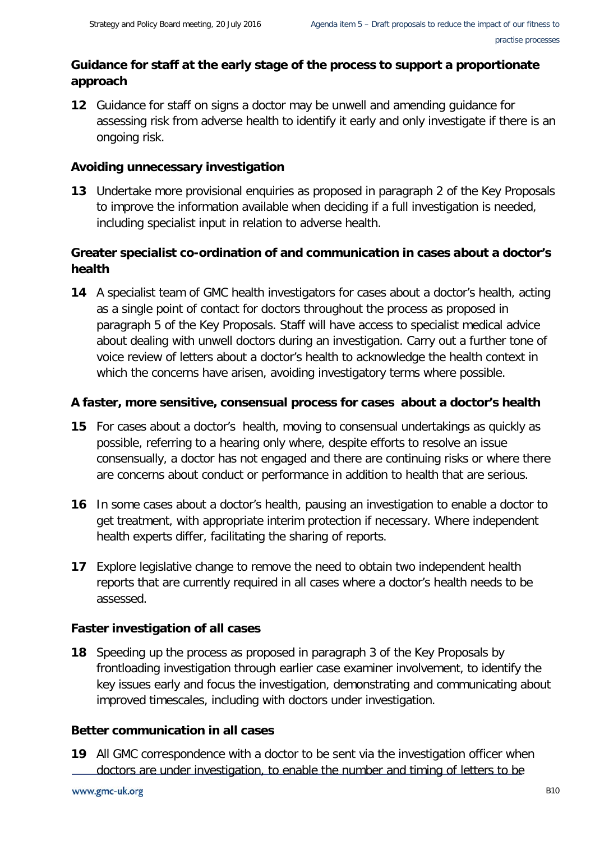# **Guidance for staff at the early stage of the process to support a proportionate approach**

**12** Guidance for staff on signs a doctor may be unwell and amending guidance for assessing risk from adverse health to identify it early and only investigate if there is an ongoing risk.

# **Avoiding unnecessary investigation**

**13** Undertake more provisional enquiries as proposed in paragraph 2 of the Key Proposals to improve the information available when deciding if a full investigation is needed, including specialist input in relation to adverse health.

# **Greater specialist co-ordination of and communication in cases about a doctor's health**

**14** A specialist team of GMC health investigators for cases about a doctor's health, acting as a single point of contact for doctors throughout the process as proposed in paragraph 5 of the Key Proposals. Staff will have access to specialist medical advice about dealing with unwell doctors during an investigation. Carry out a further tone of voice review of letters about a doctor's health to acknowledge the health context in which the concerns have arisen, avoiding investigatory terms where possible.

# **A faster, more sensitive, consensual process for cases about a doctor's health**

- **15** For cases about a doctor's health, moving to consensual undertakings as quickly as possible, referring to a hearing only where, despite efforts to resolve an issue consensually, a doctor has not engaged and there are continuing risks or where there are concerns about conduct or performance in addition to health that are serious.
- **16** In some cases about a doctor's health, pausing an investigation to enable a doctor to get treatment, with appropriate interim protection if necessary. Where independent health experts differ, facilitating the sharing of reports.
- **17** Explore legislative change to remove the need to obtain two independent health reports that are currently required in all cases where a doctor's health needs to be assessed.

# **Faster investigation of all cases**

**18** Speeding up the process as proposed in paragraph 3 of the Key Proposals by frontloading investigation through earlier case examiner involvement, to identify the key issues early and focus the investigation, demonstrating and communicating about improved timescales, including with doctors under investigation.

# **Better communication in all cases**

**19** All GMC correspondence with a doctor to be sent via the investigation officer when doctors are under investigation, to enable the number and timing of letters to be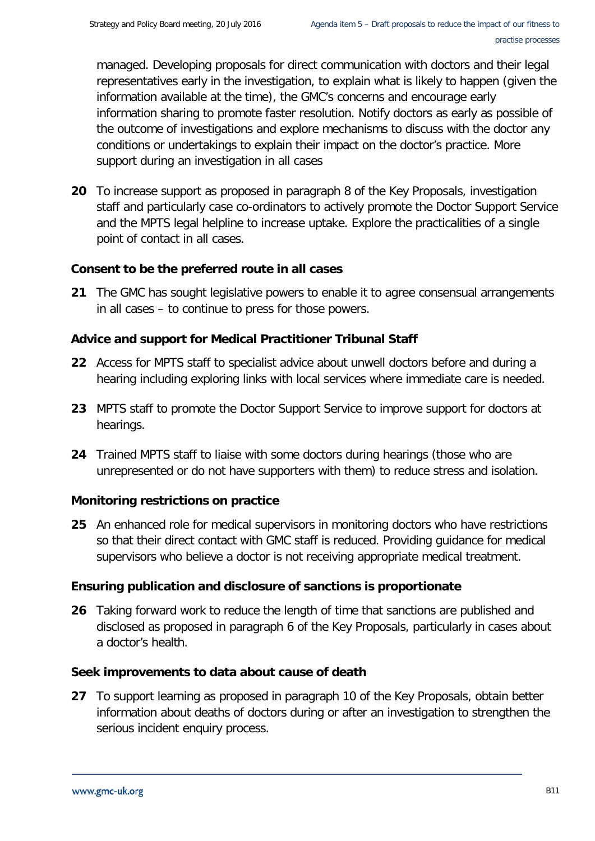managed. Developing proposals for direct communication with doctors and their legal representatives early in the investigation, to explain what is likely to happen (given the information available at the time), the GMC's concerns and encourage early information sharing to promote faster resolution. Notify doctors as early as possible of the outcome of investigations and explore mechanisms to discuss with the doctor any conditions or undertakings to explain their impact on the doctor's practice. More support during an investigation in all cases

**20** To increase support as proposed in paragraph 8 of the Key Proposals, investigation staff and particularly case co-ordinators to actively promote the Doctor Support Service and the MPTS legal helpline to increase uptake. Explore the practicalities of a single point of contact in all cases.

# **Consent to be the preferred route in all cases**

**21** The GMC has sought legislative powers to enable it to agree consensual arrangements in all cases – to continue to press for those powers.

## **Advice and support for Medical Practitioner Tribunal Staff**

- **22** Access for MPTS staff to specialist advice about unwell doctors before and during a hearing including exploring links with local services where immediate care is needed.
- **23** MPTS staff to promote the Doctor Support Service to improve support for doctors at hearings.
- **24** Trained MPTS staff to liaise with some doctors during hearings (those who are unrepresented or do not have supporters with them) to reduce stress and isolation.

# **Monitoring restrictions on practice**

**25** An enhanced role for medical supervisors in monitoring doctors who have restrictions so that their direct contact with GMC staff is reduced. Providing guidance for medical supervisors who believe a doctor is not receiving appropriate medical treatment.

#### **Ensuring publication and disclosure of sanctions is proportionate**

**26** Taking forward work to reduce the length of time that sanctions are published and disclosed as proposed in paragraph 6 of the Key Proposals, particularly in cases about a doctor's health.

#### **Seek improvements to data about cause of death**

**27** To support learning as proposed in paragraph 10 of the Key Proposals, obtain better information about deaths of doctors during or after an investigation to strengthen the serious incident enquiry process.